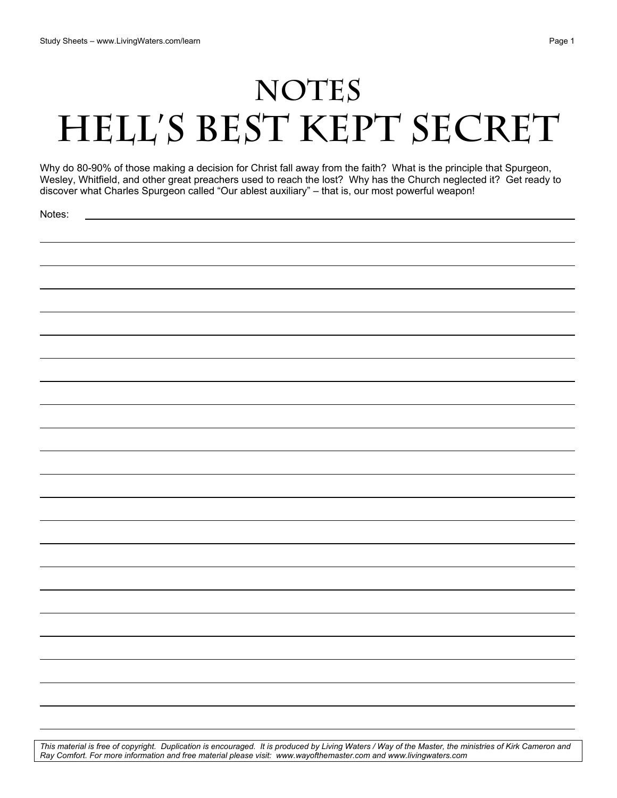## NOTES **HELL's BEST KEPT SECRET**

Why do 80-90% of those making a decision for Christ fall away from the faith? What is the principle that Spurgeon, Wesley, Whitfield, and other great preachers used to reach the lost? Why has the Church neglected it? Get ready to discover what Charles Spurgeon called "Our ablest auxiliary" – that is, our most powerful weapon!

Notes:

*This material is free of copyright. Duplication is encouraged. It is produced by Living Waters / Way of the Master, the ministries of Kirk Cameron and Ray Comfort. For more information and free material please visit: www.wayofthemaster.com and www.livingwaters.com*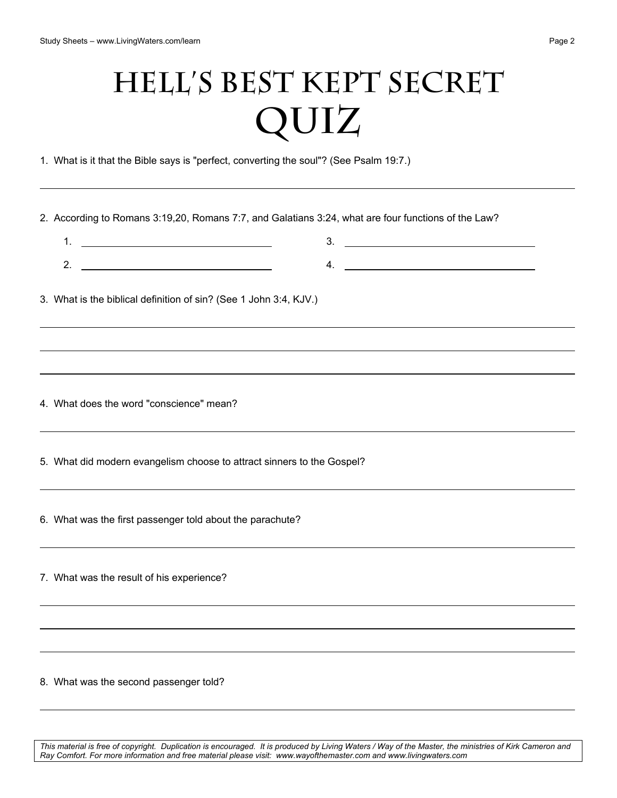## **Hell's Best Kept Secret QUIZ**

1. What is it that the Bible says is "perfect, converting the soul"? (See Psalm 19:7.)

2. According to Romans 3:19,20, Romans 7:7, and Galatians 3:24, what are four functions of the Law?

1. <u>\_\_\_\_\_\_\_\_\_\_\_\_\_\_\_\_\_\_\_\_\_\_\_\_\_\_\_\_\_\_\_\_\_\_</u> 2. 3. 4.

3. What is the biblical definition of sin? (See 1 John 3:4, KJV.)

4. What does the word "conscience" mean?

5. What did modern evangelism choose to attract sinners to the Gospel?

6. What was the first passenger told about the parachute?

7. What was the result of his experience?

8. What was the second passenger told?

*This material is free of copyright. Duplication is encouraged. It is produced by Living Waters / Way of the Master, the ministries of Kirk Cameron and Ray Comfort. For more information and free material please visit: www.wayofthemaster.com and www.livingwaters.com*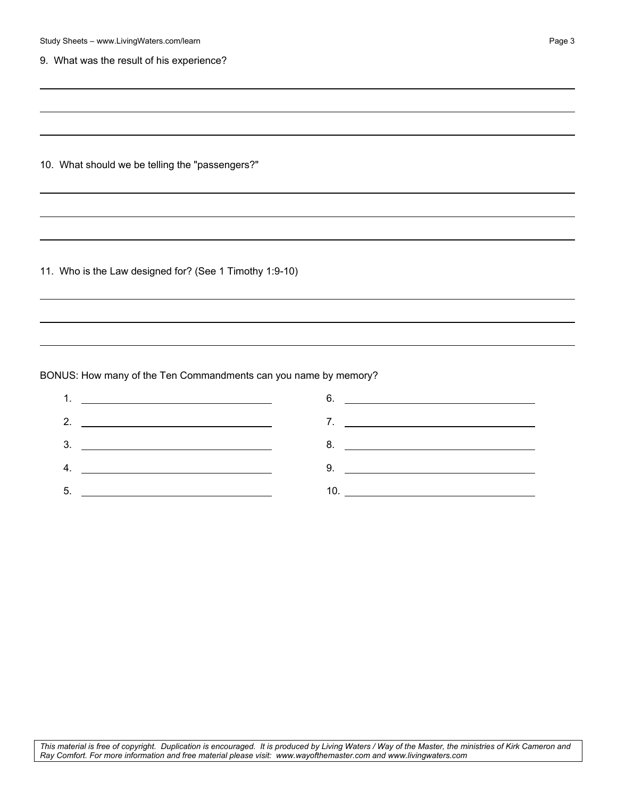| Study Sheets - www.LivingWaters.com/learn                       |                                                                                  | Page 3 |
|-----------------------------------------------------------------|----------------------------------------------------------------------------------|--------|
| 9. What was the result of his experience?                       |                                                                                  |        |
|                                                                 |                                                                                  |        |
|                                                                 |                                                                                  |        |
|                                                                 |                                                                                  |        |
| 10. What should we be telling the "passengers?"                 |                                                                                  |        |
|                                                                 |                                                                                  |        |
|                                                                 | ,我们也不会有什么。""我们的人,我们也不会有什么?""我们的人,我们也不会有什么?""我们的人,我们也不会有什么?""我们的人,我们也不会有什么?""我们的人 |        |
|                                                                 |                                                                                  |        |
|                                                                 |                                                                                  |        |
| 11. Who is the Law designed for? (See 1 Timothy 1:9-10)         |                                                                                  |        |
|                                                                 |                                                                                  |        |
|                                                                 |                                                                                  |        |
|                                                                 |                                                                                  |        |
| BONUS: How many of the Ten Commandments can you name by memory? |                                                                                  |        |
|                                                                 | $6.$ $\overline{\phantom{a}}$                                                    |        |
|                                                                 |                                                                                  |        |
| 3 <sub>1</sub><br><u> 1990 - Johann Barbara, martin a</u>       |                                                                                  |        |
| <u> 1989 - Johann Barbara, martin amerikan ba</u><br>4.         | $9.$ $\overline{\phantom{a}}$                                                    |        |
| 5.                                                              |                                                                                  |        |
|                                                                 |                                                                                  |        |
|                                                                 |                                                                                  |        |